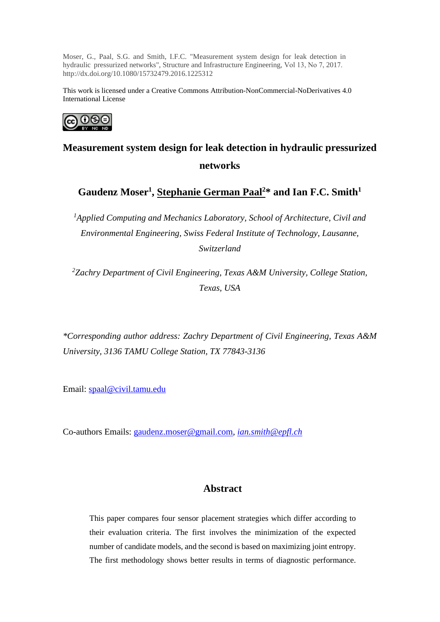Moser, G., Paal, S.G. and Smith, I.F.C. "Measurement system design for leak detection in hydraulic pressurized networks", Structure and Infrastructure Engineering, Vol 13, No 7, 2017. http://dx.doi.org/10.1080/15732479.2016.1225312

This work is licensed under a Creative Commons Attribution-NonCommercial-NoDerivatives 4.0 International License



# **Measurement system design for leak detection in hydraulic pressurized networks**

 $\mathbf{G}$ audenz Moser<sup>1</sup>, <u>Stephanie German Paal<sup>2</sup>\*</u> and Ian F.C. Smith $^1$ 

<sup>1</sup>Applied Computing and Mechanics Laboratory, School of Architecture, Civil and *Environmental Engineering, Swiss Federal Institute of Technology, Lausanne, Switzerland* 

*2 Zachry Department of Civil Engineering, Texas A&M University, College Station, Texas, USA* 

*\*Corresponding author address: Zachry Department of Civil Engineering, Texas A&M University, 3136 TAMU College Station, TX 77843-3136*

Email: [spaal@civil.tamu.edu](mailto:spaal@civil.tamu.edu)

Co-authors Emails: [gaudenz.moser@gmail.com,](mailto:gaudenz.moser@gmail.com) *[ian.smith@epfl.ch](mailto:ian.smith@epfl.ch)*

# **Abstract**

This paper compares four sensor placement strategies which differ according to their evaluation criteria. The first involves the minimization of the expected number of candidate models, and the second is based on maximizing joint entropy. The first methodology shows better results in terms of diagnostic performance.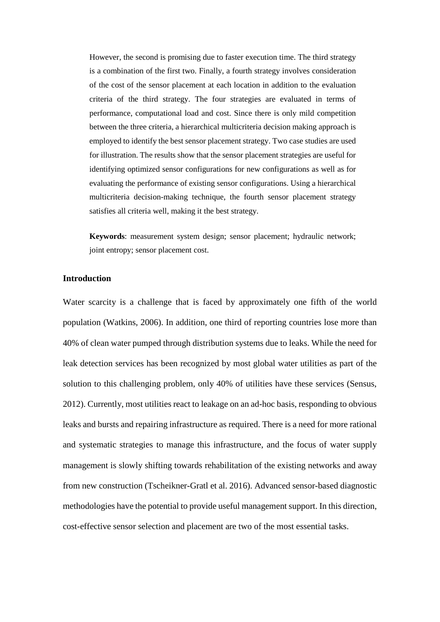However, the second is promising due to faster execution time. The third strategy is a combination of the first two. Finally, a fourth strategy involves consideration of the cost of the sensor placement at each location in addition to the evaluation criteria of the third strategy. The four strategies are evaluated in terms of performance, computational load and cost. Since there is only mild competition between the three criteria, a hierarchical multicriteria decision making approach is employed to identify the best sensor placement strategy. Two case studies are used for illustration. The results show that the sensor placement strategies are useful for identifying optimized sensor configurations for new configurations as well as for evaluating the performance of existing sensor configurations. Using a hierarchical multicriteria decision-making technique, the fourth sensor placement strategy satisfies all criteria well, making it the best strategy.

**Keywords**: measurement system design; sensor placement; hydraulic network; joint entropy; sensor placement cost.

# **Introduction**

Water scarcity is a challenge that is faced by approximately one fifth of the world population (Watkins, 2006). In addition, one third of reporting countries lose more than 40% of clean water pumped through distribution systems due to leaks. While the need for leak detection services has been recognized by most global water utilities as part of the solution to this challenging problem, only 40% of utilities have these services (Sensus, 2012). Currently, most utilities react to leakage on an ad-hoc basis, responding to obvious leaks and bursts and repairing infrastructure as required. There is a need for more rational and systematic strategies to manage this infrastructure, and the focus of water supply management is slowly shifting towards rehabilitation of the existing networks and away from new construction (Tscheikner-Gratl et al. 2016). Advanced sensor-based diagnostic methodologies have the potential to provide useful management support. In this direction, cost-effective sensor selection and placement are two of the most essential tasks.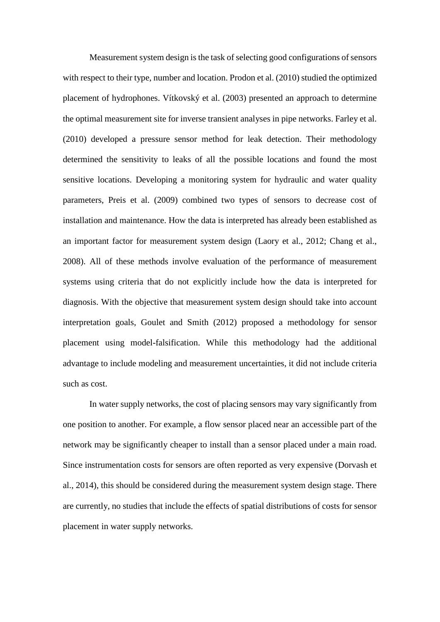Measurement system design is the task of selecting good configurations of sensors with respect to their type, number and location. Prodon et al. (2010) studied the optimized placement of hydrophones. Vítkovský et al. (2003) presented an approach to determine the optimal measurement site for inverse transient analyses in pipe networks. Farley et al. (2010) developed a pressure sensor method for leak detection. Their methodology determined the sensitivity to leaks of all the possible locations and found the most sensitive locations. Developing a monitoring system for hydraulic and water quality parameters, Preis et al. (2009) combined two types of sensors to decrease cost of installation and maintenance. How the data is interpreted has already been established as an important factor for measurement system design (Laory et al., 2012; Chang et al., 2008). All of these methods involve evaluation of the performance of measurement systems using criteria that do not explicitly include how the data is interpreted for diagnosis. With the objective that measurement system design should take into account interpretation goals, Goulet and Smith (2012) proposed a methodology for sensor placement using model-falsification. While this methodology had the additional advantage to include modeling and measurement uncertainties, it did not include criteria such as cost.

In water supply networks, the cost of placing sensors may vary significantly from one position to another. For example, a flow sensor placed near an accessible part of the network may be significantly cheaper to install than a sensor placed under a main road. Since instrumentation costs for sensors are often reported as very expensive (Dorvash et al., 2014), this should be considered during the measurement system design stage. There are currently, no studies that include the effects of spatial distributions of costs for sensor placement in water supply networks.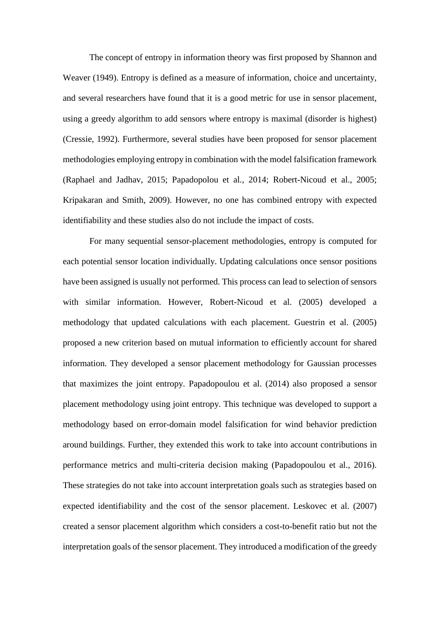The concept of entropy in information theory was first proposed by Shannon and Weaver (1949). Entropy is defined as a measure of information, choice and uncertainty, and several researchers have found that it is a good metric for use in sensor placement, using a greedy algorithm to add sensors where entropy is maximal (disorder is highest) (Cressie, 1992). Furthermore, several studies have been proposed for sensor placement methodologies employing entropy in combination with the model falsification framework (Raphael and Jadhav, 2015; Papadopolou et al., 2014; Robert-Nicoud et al., 2005; Kripakaran and Smith, 2009). However, no one has combined entropy with expected identifiability and these studies also do not include the impact of costs.

For many sequential sensor-placement methodologies, entropy is computed for each potential sensor location individually. Updating calculations once sensor positions have been assigned is usually not performed. This process can lead to selection of sensors with similar information. However, Robert-Nicoud et al. (2005) developed a methodology that updated calculations with each placement. Guestrin et al. (2005) proposed a new criterion based on mutual information to efficiently account for shared information. They developed a sensor placement methodology for Gaussian processes that maximizes the joint entropy. Papadopoulou et al. (2014) also proposed a sensor placement methodology using joint entropy. This technique was developed to support a methodology based on error-domain model falsification for wind behavior prediction around buildings. Further, they extended this work to take into account contributions in performance metrics and multi-criteria decision making (Papadopoulou et al., 2016). These strategies do not take into account interpretation goals such as strategies based on expected identifiability and the cost of the sensor placement. Leskovec et al. (2007) created a sensor placement algorithm which considers a cost-to-benefit ratio but not the interpretation goals of the sensor placement. They introduced a modification of the greedy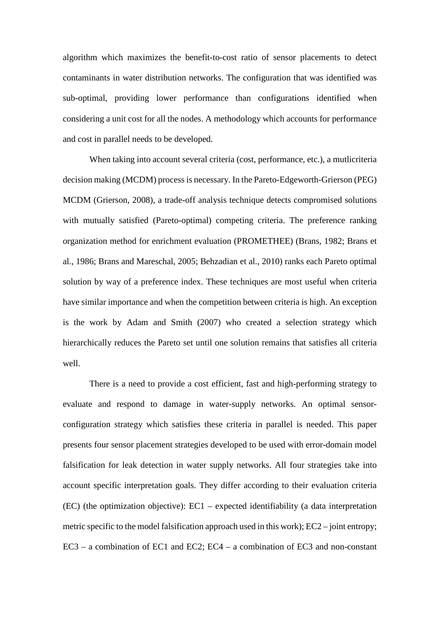algorithm which maximizes the benefit-to-cost ratio of sensor placements to detect contaminants in water distribution networks. The configuration that was identified was sub-optimal, providing lower performance than configurations identified when considering a unit cost for all the nodes. A methodology which accounts for performance and cost in parallel needs to be developed.

When taking into account several criteria (cost, performance, etc.), a mutlicriteria decision making (MCDM) process is necessary. In the Pareto-Edgeworth-Grierson (PEG) MCDM (Grierson, 2008), a trade-off analysis technique detects compromised solutions with mutually satisfied (Pareto-optimal) competing criteria. The preference ranking organization method for enrichment evaluation (PROMETHEE) (Brans, 1982; Brans et al., 1986; Brans and Mareschal, 2005; Behzadian et al., 2010) ranks each Pareto optimal solution by way of a preference index. These techniques are most useful when criteria have similar importance and when the competition between criteria is high. An exception is the work by Adam and Smith (2007) who created a selection strategy which hierarchically reduces the Pareto set until one solution remains that satisfies all criteria well.

There is a need to provide a cost efficient, fast and high-performing strategy to evaluate and respond to damage in water-supply networks. An optimal sensorconfiguration strategy which satisfies these criteria in parallel is needed. This paper presents four sensor placement strategies developed to be used with error-domain model falsification for leak detection in water supply networks. All four strategies take into account specific interpretation goals. They differ according to their evaluation criteria (EC) (the optimization objective): EC1 – expected identifiability (a data interpretation metric specific to the model falsification approach used in this work); EC2 – joint entropy; EC3 – a combination of EC1 and EC2; EC4 – a combination of EC3 and non-constant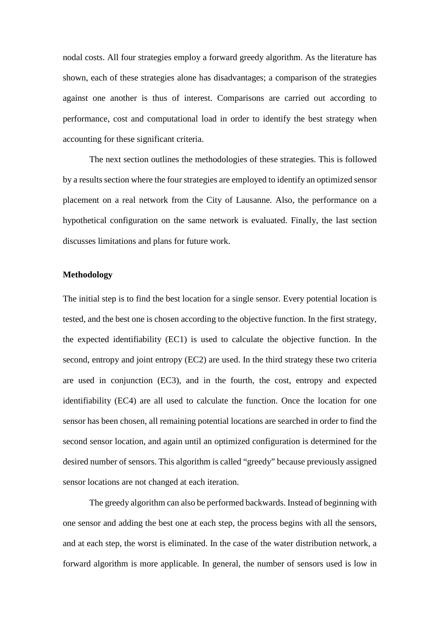nodal costs. All four strategies employ a forward greedy algorithm. As the literature has shown, each of these strategies alone has disadvantages; a comparison of the strategies against one another is thus of interest. Comparisons are carried out according to performance, cost and computational load in order to identify the best strategy when accounting for these significant criteria.

The next section outlines the methodologies of these strategies. This is followed by a results section where the four strategies are employed to identify an optimized sensor placement on a real network from the City of Lausanne. Also, the performance on a hypothetical configuration on the same network is evaluated. Finally, the last section discusses limitations and plans for future work.

#### **Methodology**

The initial step is to find the best location for a single sensor. Every potential location is tested, and the best one is chosen according to the objective function. In the first strategy, the expected identifiability (EC1) is used to calculate the objective function. In the second, entropy and joint entropy (EC2) are used. In the third strategy these two criteria are used in conjunction (EC3), and in the fourth, the cost, entropy and expected identifiability (EC4) are all used to calculate the function. Once the location for one sensor has been chosen, all remaining potential locations are searched in order to find the second sensor location, and again until an optimized configuration is determined for the desired number of sensors. This algorithm is called "greedy" because previously assigned sensor locations are not changed at each iteration.

The greedy algorithm can also be performed backwards. Instead of beginning with one sensor and adding the best one at each step, the process begins with all the sensors, and at each step, the worst is eliminated. In the case of the water distribution network, a forward algorithm is more applicable. In general, the number of sensors used is low in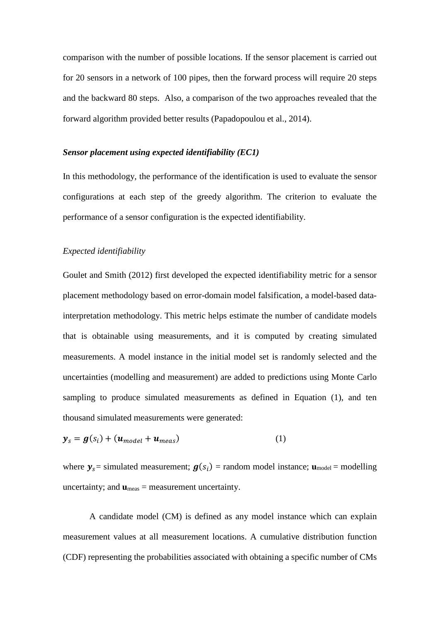comparison with the number of possible locations. If the sensor placement is carried out for 20 sensors in a network of 100 pipes, then the forward process will require 20 steps and the backward 80 steps. Also, a comparison of the two approaches revealed that the forward algorithm provided better results (Papadopoulou et al., 2014).

#### *Sensor placement using expected identifiability (EC1)*

In this methodology, the performance of the identification is used to evaluate the sensor configurations at each step of the greedy algorithm. The criterion to evaluate the performance of a sensor configuration is the expected identifiability.

#### *Expected identifiability*

Goulet and Smith (2012) first developed the expected identifiability metric for a sensor placement methodology based on error-domain model falsification, a model-based datainterpretation methodology. This metric helps estimate the number of candidate models that is obtainable using measurements, and it is computed by creating simulated measurements. A model instance in the initial model set is randomly selected and the uncertainties (modelling and measurement) are added to predictions using Monte Carlo sampling to produce simulated measurements as defined in Equation (1), and ten thousand simulated measurements were generated:

$$
\mathbf{y}_s = \mathbf{g}(s_i) + (\mathbf{u}_{model} + \mathbf{u}_{meas})
$$
 (1)

where  $y_s$  = simulated measurement;  $g(s_i)$  = random model instance;  $\mathbf{u}_{\text{model}}$  = modelling uncertainty; and  $\mathbf{u}_{meas}$  = measurement uncertainty.

A candidate model (CM) is defined as any model instance which can explain measurement values at all measurement locations. A cumulative distribution function (CDF) representing the probabilities associated with obtaining a specific number of CMs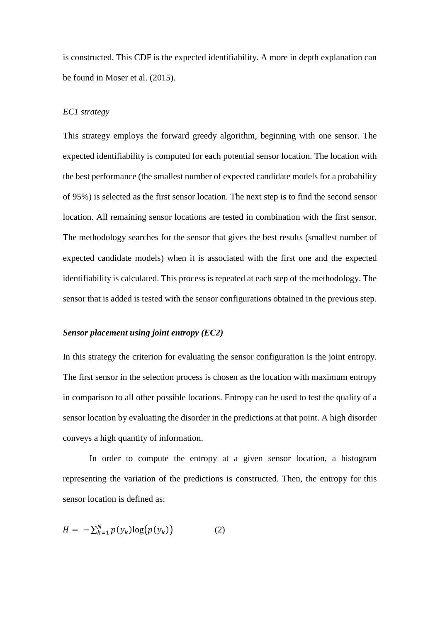is constructed. This CDF is the expected identifiability. A more in depth explanation can be found in Moser et al. (2015).

# *EC1 strategy*

This strategy employs the forward greedy algorithm, beginning with one sensor. The expected identifiability is computed for each potential sensor location. The location with the best performance (the smallest number of expected candidate models for a probability of 95%) is selected as the first sensor location. The next step is to find the second sensor location. All remaining sensor locations are tested in combination with the first sensor. The methodology searches for the sensor that gives the best results (smallest number of expected candidate models) when it is associated with the first one and the expected identifiability is calculated. This process is repeated at each step of the methodology. The sensor that is added is tested with the sensor configurations obtained in the previous step.

#### *Sensor placement using joint entropy (EC2)*

In this strategy the criterion for evaluating the sensor configuration is the joint entropy. The first sensor in the selection process is chosen as the location with maximum entropy in comparison to all other possible locations. Entropy can be used to test the quality of a sensor location by evaluating the disorder in the predictions at that point. A high disorder conveys a high quantity of information.

In order to compute the entropy at a given sensor location, a histogram representing the variation of the predictions is constructed. Then, the entropy for this sensor location is defined as:

$$
H = -\sum_{k=1}^{N} p(y_k) \log(p(y_k)) \tag{2}
$$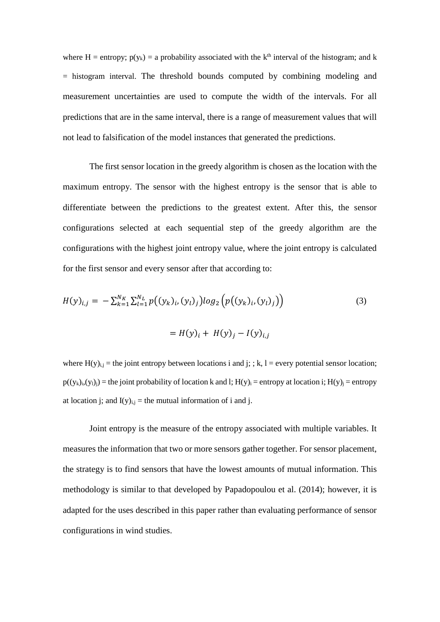where H = entropy;  $p(y_k) = a$  probability associated with the k<sup>th</sup> interval of the histogram; and k = histogram interval. The threshold bounds computed by combining modeling and measurement uncertainties are used to compute the width of the intervals. For all predictions that are in the same interval, there is a range of measurement values that will not lead to falsification of the model instances that generated the predictions.

The first sensor location in the greedy algorithm is chosen as the location with the maximum entropy. The sensor with the highest entropy is the sensor that is able to differentiate between the predictions to the greatest extent. After this, the sensor configurations selected at each sequential step of the greedy algorithm are the configurations with the highest joint entropy value, where the joint entropy is calculated for the first sensor and every sensor after that according to:

$$
H(y)_{i,j} = -\sum_{k=1}^{N_K} \sum_{l=1}^{N_L} p((y_k)_{i}, (y_l)_j) \log_2 \left( p((y_k)_{i}, (y_l)_j) \right)
$$
  

$$
= H(y)_{i} + H(y)_{j} - I(y)_{i,j}
$$
 (3)

where  $H(y)_{i,j}$  = the joint entropy between locations i and j; ; k, l = every potential sensor location;  $p((y_k)_i,(y_l)_i)$  = the joint probability of location k and l;  $H(y)_i$  = entropy at location i;  $H(y)_i$  = entropy at location j; and  $I(y)_{i,j}$  = the mutual information of i and j.

Joint entropy is the measure of the entropy associated with multiple variables. It measures the information that two or more sensors gather together. For sensor placement, the strategy is to find sensors that have the lowest amounts of mutual information. This methodology is similar to that developed by Papadopoulou et al. (2014); however, it is adapted for the uses described in this paper rather than evaluating performance of sensor configurations in wind studies.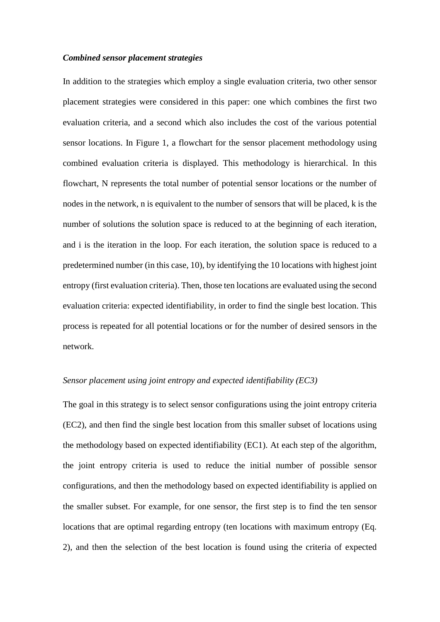#### *Combined sensor placement strategies*

In addition to the strategies which employ a single evaluation criteria, two other sensor placement strategies were considered in this paper: one which combines the first two evaluation criteria, and a second which also includes the cost of the various potential sensor locations. In Figure 1, a flowchart for the sensor placement methodology using combined evaluation criteria is displayed. This methodology is hierarchical. In this flowchart, N represents the total number of potential sensor locations or the number of nodes in the network, n is equivalent to the number of sensors that will be placed, k is the number of solutions the solution space is reduced to at the beginning of each iteration, and i is the iteration in the loop. For each iteration, the solution space is reduced to a predetermined number (in this case, 10), by identifying the 10 locations with highest joint entropy (first evaluation criteria). Then, those ten locations are evaluated using the second evaluation criteria: expected identifiability, in order to find the single best location. This process is repeated for all potential locations or for the number of desired sensors in the network.

#### *Sensor placement using joint entropy and expected identifiability (EC3)*

The goal in this strategy is to select sensor configurations using the joint entropy criteria (EC2), and then find the single best location from this smaller subset of locations using the methodology based on expected identifiability (EC1). At each step of the algorithm, the joint entropy criteria is used to reduce the initial number of possible sensor configurations, and then the methodology based on expected identifiability is applied on the smaller subset. For example, for one sensor, the first step is to find the ten sensor locations that are optimal regarding entropy (ten locations with maximum entropy (Eq. 2), and then the selection of the best location is found using the criteria of expected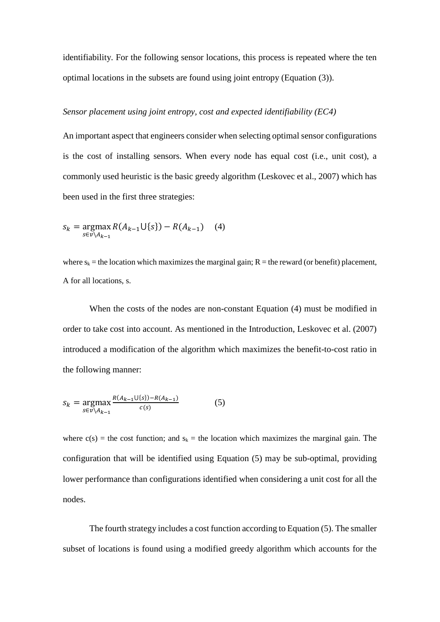identifiability. For the following sensor locations, this process is repeated where the ten optimal locations in the subsets are found using joint entropy (Equation (3)).

# *Sensor placement using joint entropy, cost and expected identifiability (EC4)*

An important aspect that engineers consider when selecting optimal sensor configurations is the cost of installing sensors. When every node has equal cost (i.e., unit cost), a commonly used heuristic is the basic greedy algorithm (Leskovec et al., 2007) which has been used in the first three strategies:

$$
s_k = \underset{s \in v \setminus A_{k-1}}{\text{argmax}} R(A_{k-1} \cup \{s\}) - R(A_{k-1}) \quad (4)
$$

where  $s_k$  = the location which maximizes the marginal gain;  $R$  = the reward (or benefit) placement, A for all locations, s.

When the costs of the nodes are non-constant Equation (4) must be modified in order to take cost into account. As mentioned in the Introduction, Leskovec et al. (2007) introduced a modification of the algorithm which maximizes the benefit-to-cost ratio in the following manner:

$$
s_k = \underset{s \in v \setminus A_{k-1}}{\text{argmax}} \frac{R(A_{k-1} \cup \{s\}) - R(A_{k-1})}{c(s)} \tag{5}
$$

where  $c(s)$  = the cost function; and  $s_k$  = the location which maximizes the marginal gain. The configuration that will be identified using Equation (5) may be sub-optimal, providing lower performance than configurations identified when considering a unit cost for all the nodes.

The fourth strategy includes a cost function according to Equation (5). The smaller subset of locations is found using a modified greedy algorithm which accounts for the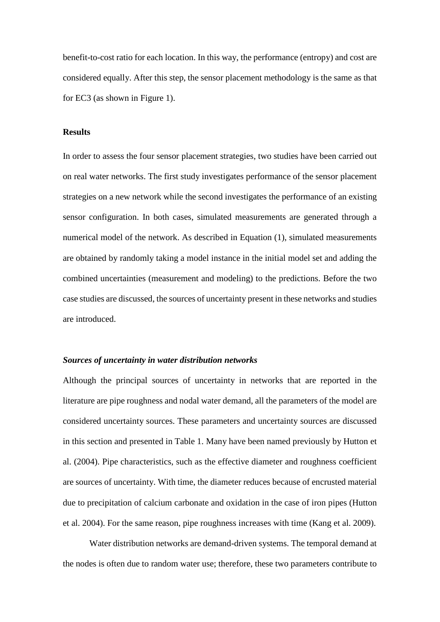benefit-to-cost ratio for each location. In this way, the performance (entropy) and cost are considered equally. After this step, the sensor placement methodology is the same as that for EC3 (as shown in Figure 1).

# **Results**

In order to assess the four sensor placement strategies, two studies have been carried out on real water networks. The first study investigates performance of the sensor placement strategies on a new network while the second investigates the performance of an existing sensor configuration. In both cases, simulated measurements are generated through a numerical model of the network. As described in Equation (1), simulated measurements are obtained by randomly taking a model instance in the initial model set and adding the combined uncertainties (measurement and modeling) to the predictions. Before the two case studies are discussed, the sources of uncertainty present in these networks and studies are introduced.

#### *Sources of uncertainty in water distribution networks*

Although the principal sources of uncertainty in networks that are reported in the literature are pipe roughness and nodal water demand, all the parameters of the model are considered uncertainty sources. These parameters and uncertainty sources are discussed in this section and presented in Table 1. Many have been named previously by Hutton et al. (2004). Pipe characteristics, such as the effective diameter and roughness coefficient are sources of uncertainty. With time, the diameter reduces because of encrusted material due to precipitation of calcium carbonate and oxidation in the case of iron pipes (Hutton et al. 2004). For the same reason, pipe roughness increases with time (Kang et al. 2009).

Water distribution networks are demand-driven systems. The temporal demand at the nodes is often due to random water use; therefore, these two parameters contribute to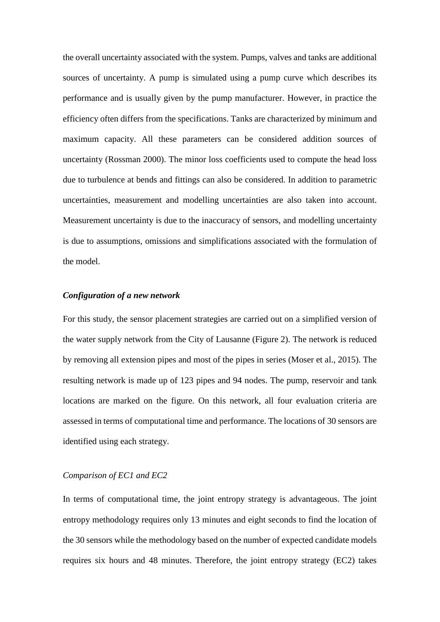the overall uncertainty associated with the system. Pumps, valves and tanks are additional sources of uncertainty. A pump is simulated using a pump curve which describes its performance and is usually given by the pump manufacturer. However, in practice the efficiency often differs from the specifications. Tanks are characterized by minimum and maximum capacity. All these parameters can be considered addition sources of uncertainty (Rossman 2000). The minor loss coefficients used to compute the head loss due to turbulence at bends and fittings can also be considered. In addition to parametric uncertainties, measurement and modelling uncertainties are also taken into account. Measurement uncertainty is due to the inaccuracy of sensors, and modelling uncertainty is due to assumptions, omissions and simplifications associated with the formulation of the model.

# *Configuration of a new network*

For this study, the sensor placement strategies are carried out on a simplified version of the water supply network from the City of Lausanne (Figure 2). The network is reduced by removing all extension pipes and most of the pipes in series (Moser et al., 2015). The resulting network is made up of 123 pipes and 94 nodes. The pump, reservoir and tank locations are marked on the figure. On this network, all four evaluation criteria are assessed in terms of computational time and performance. The locations of 30 sensors are identified using each strategy.

# *Comparison of EC1 and EC2*

In terms of computational time, the joint entropy strategy is advantageous. The joint entropy methodology requires only 13 minutes and eight seconds to find the location of the 30 sensors while the methodology based on the number of expected candidate models requires six hours and 48 minutes. Therefore, the joint entropy strategy (EC2) takes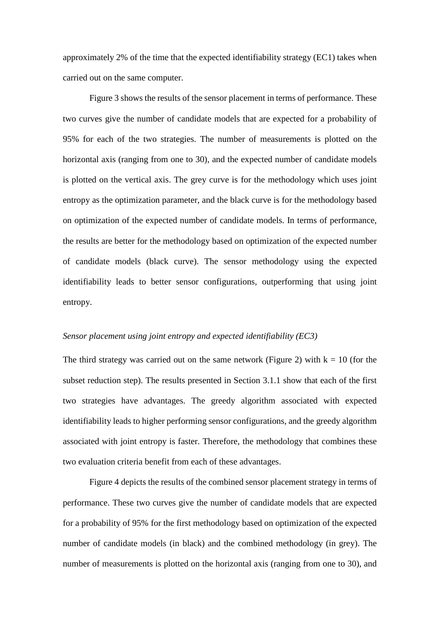approximately 2% of the time that the expected identifiability strategy (EC1) takes when carried out on the same computer.

Figure 3 shows the results of the sensor placement in terms of performance. These two curves give the number of candidate models that are expected for a probability of 95% for each of the two strategies. The number of measurements is plotted on the horizontal axis (ranging from one to 30), and the expected number of candidate models is plotted on the vertical axis. The grey curve is for the methodology which uses joint entropy as the optimization parameter, and the black curve is for the methodology based on optimization of the expected number of candidate models. In terms of performance, the results are better for the methodology based on optimization of the expected number of candidate models (black curve). The sensor methodology using the expected identifiability leads to better sensor configurations, outperforming that using joint entropy.

# *Sensor placement using joint entropy and expected identifiability (EC3)*

The third strategy was carried out on the same network (Figure 2) with  $k = 10$  (for the subset reduction step). The results presented in Section 3.1.1 show that each of the first two strategies have advantages. The greedy algorithm associated with expected identifiability leads to higher performing sensor configurations, and the greedy algorithm associated with joint entropy is faster. Therefore, the methodology that combines these two evaluation criteria benefit from each of these advantages.

Figure 4 depicts the results of the combined sensor placement strategy in terms of performance. These two curves give the number of candidate models that are expected for a probability of 95% for the first methodology based on optimization of the expected number of candidate models (in black) and the combined methodology (in grey). The number of measurements is plotted on the horizontal axis (ranging from one to 30), and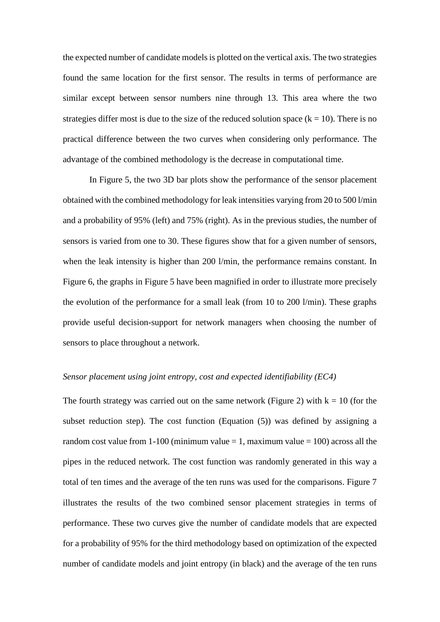the expected number of candidate models is plotted on the vertical axis. The two strategies found the same location for the first sensor. The results in terms of performance are similar except between sensor numbers nine through 13. This area where the two strategies differ most is due to the size of the reduced solution space  $(k = 10)$ . There is no practical difference between the two curves when considering only performance. The advantage of the combined methodology is the decrease in computational time.

In Figure 5, the two 3D bar plots show the performance of the sensor placement obtained with the combined methodology for leak intensities varying from 20 to 500 l/min and a probability of 95% (left) and 75% (right). As in the previous studies, the number of sensors is varied from one to 30. These figures show that for a given number of sensors, when the leak intensity is higher than 200 l/min, the performance remains constant. In Figure 6, the graphs in Figure 5 have been magnified in order to illustrate more precisely the evolution of the performance for a small leak (from 10 to 200 l/min). These graphs provide useful decision-support for network managers when choosing the number of sensors to place throughout a network.

# *Sensor placement using joint entropy, cost and expected identifiability (EC4)*

The fourth strategy was carried out on the same network (Figure 2) with  $k = 10$  (for the subset reduction step). The cost function (Equation (5)) was defined by assigning a random cost value from  $1-100$  (minimum value  $= 1$ , maximum value  $= 100$ ) across all the pipes in the reduced network. The cost function was randomly generated in this way a total of ten times and the average of the ten runs was used for the comparisons. Figure 7 illustrates the results of the two combined sensor placement strategies in terms of performance. These two curves give the number of candidate models that are expected for a probability of 95% for the third methodology based on optimization of the expected number of candidate models and joint entropy (in black) and the average of the ten runs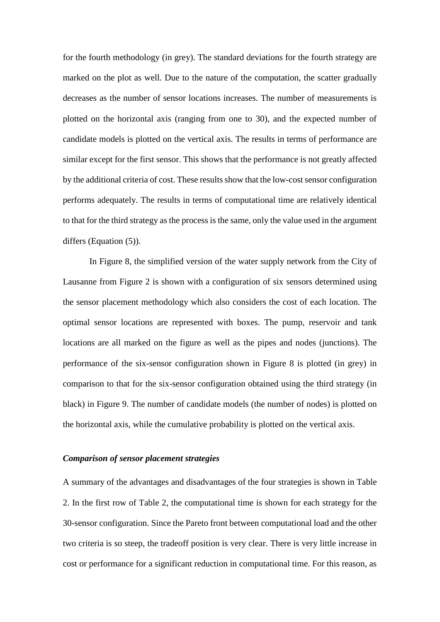for the fourth methodology (in grey). The standard deviations for the fourth strategy are marked on the plot as well. Due to the nature of the computation, the scatter gradually decreases as the number of sensor locations increases. The number of measurements is plotted on the horizontal axis (ranging from one to 30), and the expected number of candidate models is plotted on the vertical axis. The results in terms of performance are similar except for the first sensor. This shows that the performance is not greatly affected by the additional criteria of cost. These results show that the low-cost sensor configuration performs adequately. The results in terms of computational time are relatively identical to that for the third strategy as the process is the same, only the value used in the argument differs (Equation (5)).

In Figure 8, the simplified version of the water supply network from the City of Lausanne from Figure 2 is shown with a configuration of six sensors determined using the sensor placement methodology which also considers the cost of each location. The optimal sensor locations are represented with boxes. The pump, reservoir and tank locations are all marked on the figure as well as the pipes and nodes (junctions). The performance of the six-sensor configuration shown in Figure 8 is plotted (in grey) in comparison to that for the six-sensor configuration obtained using the third strategy (in black) in Figure 9. The number of candidate models (the number of nodes) is plotted on the horizontal axis, while the cumulative probability is plotted on the vertical axis.

# *Comparison of sensor placement strategies*

A summary of the advantages and disadvantages of the four strategies is shown in Table 2. In the first row of Table 2, the computational time is shown for each strategy for the 30-sensor configuration. Since the Pareto front between computational load and the other two criteria is so steep, the tradeoff position is very clear. There is very little increase in cost or performance for a significant reduction in computational time. For this reason, as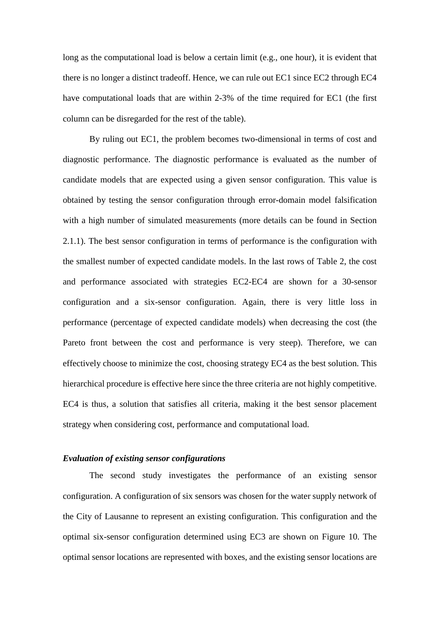long as the computational load is below a certain limit (e.g., one hour), it is evident that there is no longer a distinct tradeoff. Hence, we can rule out EC1 since EC2 through EC4 have computational loads that are within 2-3% of the time required for EC1 (the first column can be disregarded for the rest of the table).

By ruling out EC1, the problem becomes two-dimensional in terms of cost and diagnostic performance. The diagnostic performance is evaluated as the number of candidate models that are expected using a given sensor configuration. This value is obtained by testing the sensor configuration through error-domain model falsification with a high number of simulated measurements (more details can be found in Section 2.1.1). The best sensor configuration in terms of performance is the configuration with the smallest number of expected candidate models. In the last rows of Table 2, the cost and performance associated with strategies EC2-EC4 are shown for a 30-sensor configuration and a six-sensor configuration. Again, there is very little loss in performance (percentage of expected candidate models) when decreasing the cost (the Pareto front between the cost and performance is very steep). Therefore, we can effectively choose to minimize the cost, choosing strategy EC4 as the best solution. This hierarchical procedure is effective here since the three criteria are not highly competitive. EC4 is thus, a solution that satisfies all criteria, making it the best sensor placement strategy when considering cost, performance and computational load.

# *Evaluation of existing sensor configurations*

The second study investigates the performance of an existing sensor configuration. A configuration of six sensors was chosen for the water supply network of the City of Lausanne to represent an existing configuration. This configuration and the optimal six-sensor configuration determined using EC3 are shown on Figure 10. The optimal sensor locations are represented with boxes, and the existing sensor locations are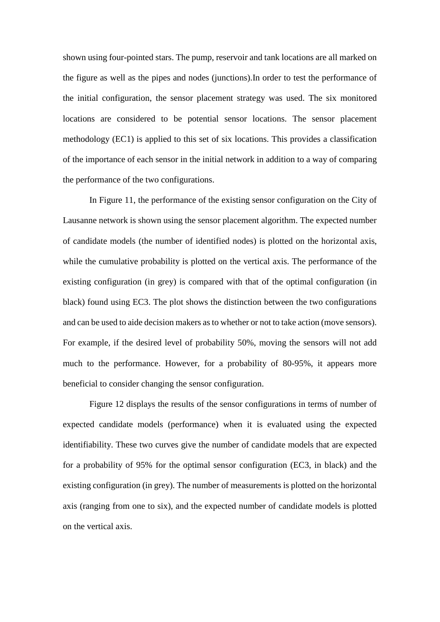shown using four-pointed stars. The pump, reservoir and tank locations are all marked on the figure as well as the pipes and nodes (junctions).In order to test the performance of the initial configuration, the sensor placement strategy was used. The six monitored locations are considered to be potential sensor locations. The sensor placement methodology (EC1) is applied to this set of six locations. This provides a classification of the importance of each sensor in the initial network in addition to a way of comparing the performance of the two configurations.

In Figure 11, the performance of the existing sensor configuration on the City of Lausanne network is shown using the sensor placement algorithm. The expected number of candidate models (the number of identified nodes) is plotted on the horizontal axis, while the cumulative probability is plotted on the vertical axis. The performance of the existing configuration (in grey) is compared with that of the optimal configuration (in black) found using EC3. The plot shows the distinction between the two configurations and can be used to aide decision makers as to whether or not to take action (move sensors). For example, if the desired level of probability 50%, moving the sensors will not add much to the performance. However, for a probability of 80-95%, it appears more beneficial to consider changing the sensor configuration.

Figure 12 displays the results of the sensor configurations in terms of number of expected candidate models (performance) when it is evaluated using the expected identifiability. These two curves give the number of candidate models that are expected for a probability of 95% for the optimal sensor configuration (EC3, in black) and the existing configuration (in grey). The number of measurements is plotted on the horizontal axis (ranging from one to six), and the expected number of candidate models is plotted on the vertical axis.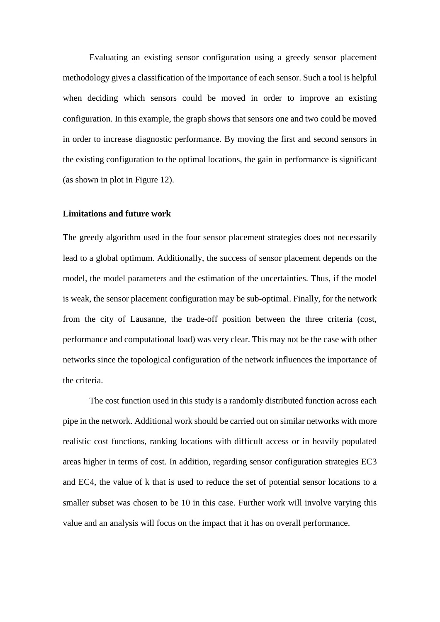Evaluating an existing sensor configuration using a greedy sensor placement methodology gives a classification of the importance of each sensor. Such a tool is helpful when deciding which sensors could be moved in order to improve an existing configuration. In this example, the graph shows that sensors one and two could be moved in order to increase diagnostic performance. By moving the first and second sensors in the existing configuration to the optimal locations, the gain in performance is significant (as shown in plot in Figure 12).

#### **Limitations and future work**

The greedy algorithm used in the four sensor placement strategies does not necessarily lead to a global optimum. Additionally, the success of sensor placement depends on the model, the model parameters and the estimation of the uncertainties. Thus, if the model is weak, the sensor placement configuration may be sub-optimal. Finally, for the network from the city of Lausanne, the trade-off position between the three criteria (cost, performance and computational load) was very clear. This may not be the case with other networks since the topological configuration of the network influences the importance of the criteria.

The cost function used in this study is a randomly distributed function across each pipe in the network. Additional work should be carried out on similar networks with more realistic cost functions, ranking locations with difficult access or in heavily populated areas higher in terms of cost. In addition, regarding sensor configuration strategies EC3 and EC4, the value of k that is used to reduce the set of potential sensor locations to a smaller subset was chosen to be 10 in this case. Further work will involve varying this value and an analysis will focus on the impact that it has on overall performance.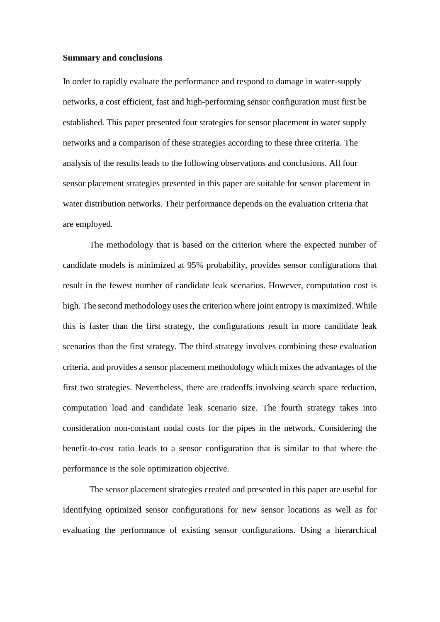#### **Summary and conclusions**

In order to rapidly evaluate the performance and respond to damage in water-supply networks, a cost efficient, fast and high-performing sensor configuration must first be established. This paper presented four strategies for sensor placement in water supply networks and a comparison of these strategies according to these three criteria. The analysis of the results leads to the following observations and conclusions. All four sensor placement strategies presented in this paper are suitable for sensor placement in water distribution networks. Their performance depends on the evaluation criteria that are employed.

The methodology that is based on the criterion where the expected number of candidate models is minimized at 95% probability, provides sensor configurations that result in the fewest number of candidate leak scenarios. However, computation cost is high. The second methodology uses the criterion where joint entropy is maximized. While this is faster than the first strategy, the configurations result in more candidate leak scenarios than the first strategy. The third strategy involves combining these evaluation criteria, and provides a sensor placement methodology which mixes the advantages of the first two strategies. Nevertheless, there are tradeoffs involving search space reduction, computation load and candidate leak scenario size. The fourth strategy takes into consideration non-constant nodal costs for the pipes in the network. Considering the benefit-to-cost ratio leads to a sensor configuration that is similar to that where the performance is the sole optimization objective.

The sensor placement strategies created and presented in this paper are useful for identifying optimized sensor configurations for new sensor locations as well as for evaluating the performance of existing sensor configurations. Using a hierarchical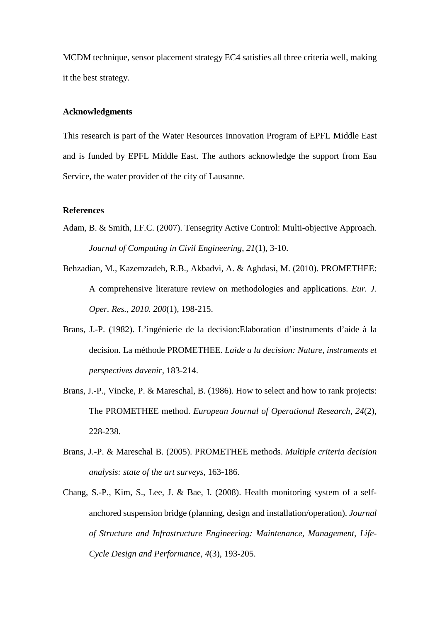MCDM technique, sensor placement strategy EC4 satisfies all three criteria well, making it the best strategy.

# **Acknowledgments**

This research is part of the Water Resources Innovation Program of EPFL Middle East and is funded by EPFL Middle East. The authors acknowledge the support from Eau Service, the water provider of the city of Lausanne.

# **References**

- Adam, B. & Smith, I.F.C. (2007). Tensegrity Active Control: Multi-objective Approach*. Journal of Computing in Civil Engineering*, *21*(1), 3-10.
- Behzadian, M., Kazemzadeh, R.B., Akbadvi, A. & Aghdasi, M. (2010). PROMETHEE: A comprehensive literature review on methodologies and applications. *Eur. J. Oper. Res., 2010. 200*(1), 198-215.
- Brans, J.-P. (1982). L'ingénierie de la decision:Elaboration d'instruments d'aide à la decision. La méthode PROMETHEE. *Laide a la decision: Nature, instruments et perspectives davenir,* 183-214.
- Brans, J.-P., Vincke, P. & Mareschal, B. (1986). How to select and how to rank projects: The PROMETHEE method. *European Journal of Operational Research, 24*(2), 228-238.
- Brans, J.-P. & Mareschal B. (2005). PROMETHEE methods. *Multiple criteria decision analysis: state of the art surveys,* 163-186.
- Chang, S.-P., Kim, S., Lee, J. & Bae, I. (2008). Health monitoring system of a selfanchored suspension bridge (planning, design and installation/operation). *Journal of Structure and Infrastructure Engineering: Maintenance, Management, Life-Cycle Design and Performance, 4*(3), 193-205.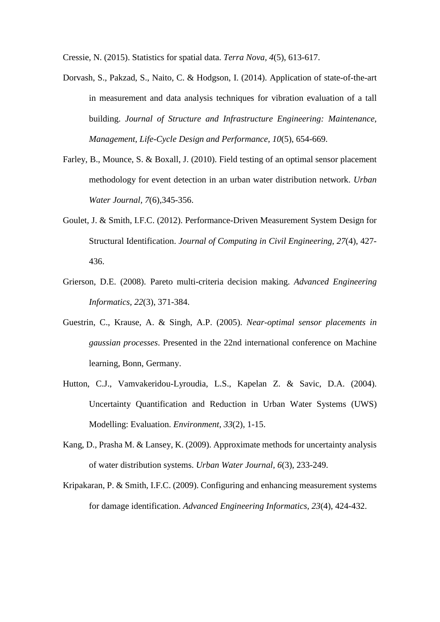Cressie, N. (2015). Statistics for spatial data. *Terra Nova, 4*(5), 613-617.

- Dorvash, S., Pakzad, S., Naito, C. & Hodgson, I. (2014). Application of state-of-the-art in measurement and data analysis techniques for vibration evaluation of a tall building. *Journal of Structure and Infrastructure Engineering: Maintenance, Management, Life-Cycle Design and Performance, 10*(5), 654-669.
- Farley, B., Mounce, S. & Boxall, J. (2010). Field testing of an optimal sensor placement methodology for event detection in an urban water distribution network. *Urban Water Journal, 7*(6),345-356.
- Goulet, J. & Smith, I.F.C. (2012). Performance-Driven Measurement System Design for Structural Identification. *Journal of Computing in Civil Engineering, 27*(4), 427- 436.
- Grierson, D.E. (2008). Pareto multi-criteria decision making. *Advanced Engineering Informatics, 22*(3), 371-384.
- Guestrin, C., Krause, A. & Singh, A.P. (2005). *Near-optimal sensor placements in gaussian processes*. Presented in the 22nd international conference on Machine learning, Bonn, Germany.
- Hutton, C.J., Vamvakeridou-Lyroudia, L.S., Kapelan Z. & Savic, D.A. (2004). Uncertainty Quantification and Reduction in Urban Water Systems (UWS) Modelling: Evaluation. *Environment, 33*(2), 1-15.
- Kang, D., Prasha M. & Lansey, K. (2009). Approximate methods for uncertainty analysis of water distribution systems. *Urban Water Journal, 6*(3), 233-249.
- Kripakaran, P. & Smith, I.F.C. (2009). Configuring and enhancing measurement systems for damage identification. *Advanced Engineering Informatics, 23*(4), 424-432.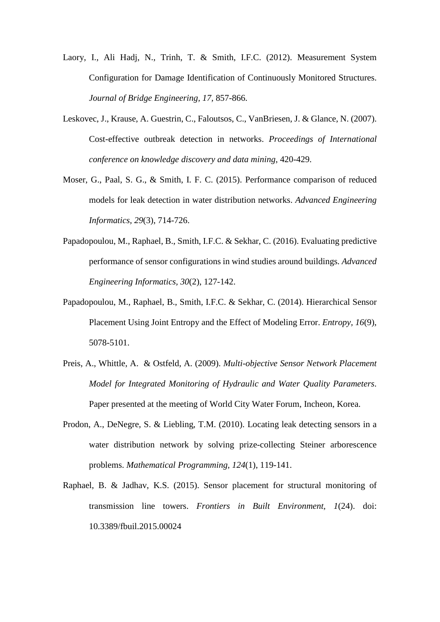- Laory, I., Ali Hadj, N., Trinh, T. & Smith, I.F.C. (2012). Measurement System Configuration for Damage Identification of Continuously Monitored Structures. *Journal of Bridge Engineering, 17,* 857-866.
- Leskovec, J., Krause, A. Guestrin, C., Faloutsos, C., VanBriesen, J. & Glance, N. (2007). Cost-effective outbreak detection in networks. *Proceedings of International conference on knowledge discovery and data mining*, 420-429.
- Moser, G., Paal, S. G., & Smith, I. F. C. (2015). Performance comparison of reduced models for leak detection in water distribution networks. *Advanced Engineering Informatics, 29*(3), 714-726.
- Papadopoulou, M., Raphael, B., Smith, I.F.C. & Sekhar, C. (2016). Evaluating predictive performance of sensor configurations in wind studies around buildings*. Advanced Engineering Informatics, 30*(2), 127-142.
- Papadopoulou, M., Raphael, B., Smith, I.F.C. & Sekhar, C. (2014). Hierarchical Sensor Placement Using Joint Entropy and the Effect of Modeling Error. *Entropy, 16*(9), 5078-5101.
- Preis, A., Whittle, A. & Ostfeld, A. (2009). *Multi-objective Sensor Network Placement Model for Integrated Monitoring of Hydraulic and Water Quality Parameters*. Paper presented at the meeting of World City Water Forum, Incheon, Korea.
- Prodon, A., DeNegre, S. & Liebling, T.M. (2010). Locating leak detecting sensors in a water distribution network by solving prize-collecting Steiner arborescence problems. *Mathematical Programming, 124*(1), 119-141.
- Raphael, B. & Jadhav, K.S. (2015). Sensor placement for structural monitoring of transmission line towers. *Frontiers in Built Environment, 1*(24). doi: 10.3389/fbuil.2015.00024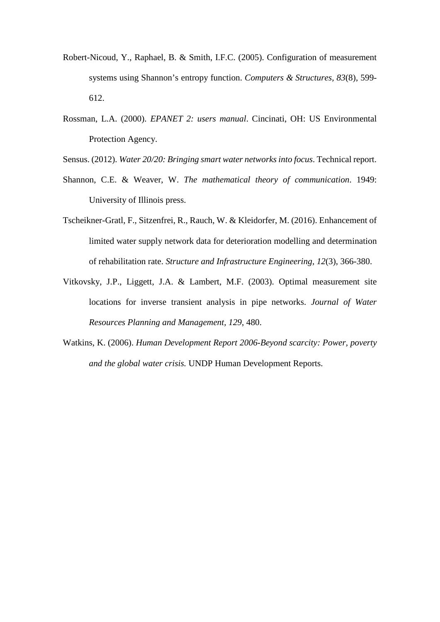- Robert-Nicoud, Y., Raphael, B. & Smith, I.F.C. (2005). Configuration of measurement systems using Shannon's entropy function. *Computers & Structures, 83*(8), 599- 612.
- Rossman, L.A. (2000). *EPANET 2: users manual*. Cincinati, OH: US Environmental Protection Agency.
- Sensus. (2012). *Water 20/20: Bringing smart water networks into focus*. Technical report.
- Shannon, C.E. & Weaver, W. *The mathematical theory of communication*. 1949: University of Illinois press.
- Tscheikner-Gratl, F., Sitzenfrei, R., Rauch, W. & Kleidorfer, M. (2016). Enhancement of limited water supply network data for deterioration modelling and determination of rehabilitation rate. *Structure and Infrastructure Engineering, 12*(3), 366-380.
- Vitkovsky, J.P., Liggett, J.A. & Lambert, M.F. (2003). Optimal measurement site locations for inverse transient analysis in pipe networks. *Journal of Water Resources Planning and Management, 129*, 480.
- Watkins, K. (2006). *Human Development Report 2006-Beyond scarcity: Power, poverty and the global water crisis.* UNDP Human Development Reports.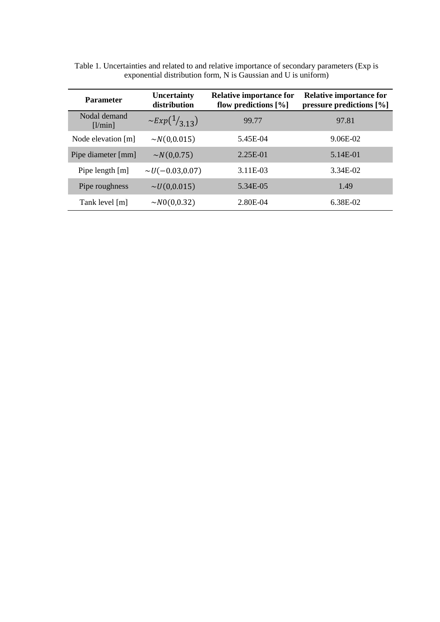| <b>Parameter</b>        | Uncertainty<br>distribution   | <b>Relative importance for</b><br>flow predictions $[\%]$ | <b>Relative importance for</b><br>pressure predictions $[\%]$ |
|-------------------------|-------------------------------|-----------------------------------------------------------|---------------------------------------------------------------|
| Nodal demand<br>[1/min] | $\sim$ Exp( $\frac{1}{3}$ 13) | 99.77                                                     | 97.81                                                         |
| Node elevation [m]      | $\sim N(0,0.015)$             | 5.45E-04                                                  | 9.06E-02                                                      |
| Pipe diameter [mm]      | $\sim N(0, 0.75)$             | 2.25E-01                                                  | 5.14E-01                                                      |
| Pipe length $[m]$       | $\sim U(-0.03,0.07)$          | 3.11E-03                                                  | 3.34E-02                                                      |
| Pipe roughness          | $\sim U(0,0.015)$             | 5.34E-05                                                  | 1.49                                                          |
| Tank level [m]          | $\sim N0(0,0.32)$             | 2.80E-04                                                  | 6.38E-02                                                      |

Table 1. Uncertainties and related to and relative importance of secondary parameters (Exp is exponential distribution form, N is Gaussian and U is uniform)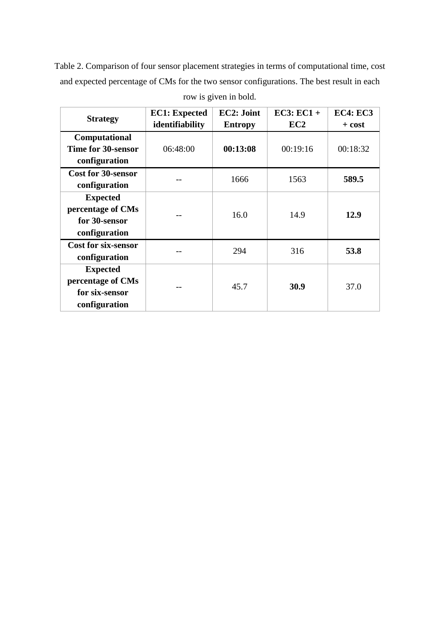Table 2. Comparison of four sensor placement strategies in terms of computational time, cost and expected percentage of CMs for the two sensor configurations. The best result in each row is given in bold.

| <b>Strategy</b>                                                         | <b>EC1: Expected</b><br>identifiability | EC2: Joint<br><b>Entropy</b> | $EC3: EC1+$<br>EC <sub>2</sub> | <b>EC4: EC3</b><br>$+ cost$ |
|-------------------------------------------------------------------------|-----------------------------------------|------------------------------|--------------------------------|-----------------------------|
| Computational<br>Time for 30-sensor<br>configuration                    | 06:48:00                                | 00:13:08                     | 00:19:16                       | 00:18:32                    |
| <b>Cost for 30-sensor</b><br>configuration                              |                                         | 1666                         | 1563                           | 589.5                       |
| <b>Expected</b><br>percentage of CMs<br>for 30-sensor<br>configuration  |                                         | 16.0                         | 14.9                           | 12.9                        |
| <b>Cost for six-sensor</b><br>configuration                             |                                         | 294                          | 316                            | 53.8                        |
| <b>Expected</b><br>percentage of CMs<br>for six-sensor<br>configuration |                                         | 45.7                         | 30.9                           | 37.0                        |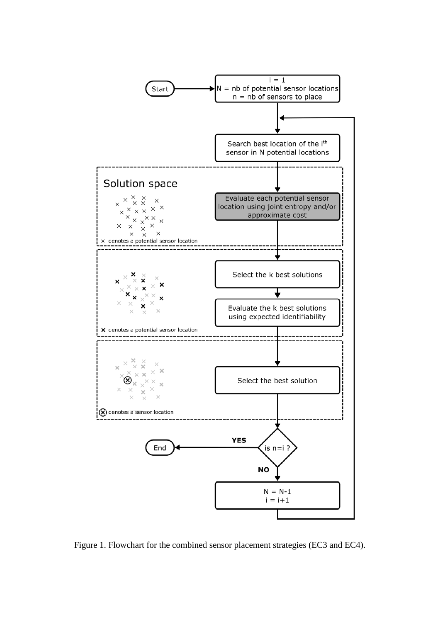

Figure 1. Flowchart for the combined sensor placement strategies (EC3 and EC4).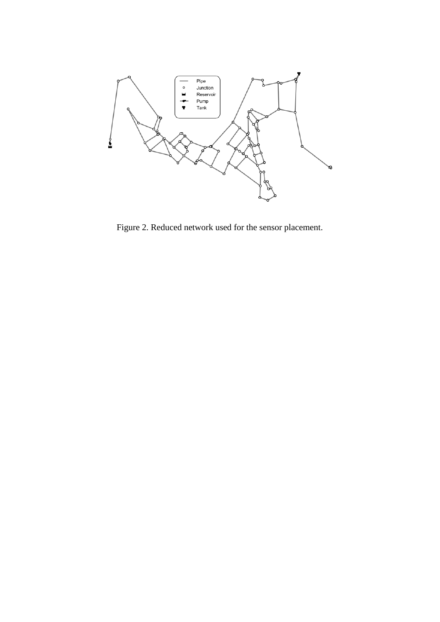

Figure 2. Reduced network used for the sensor placement.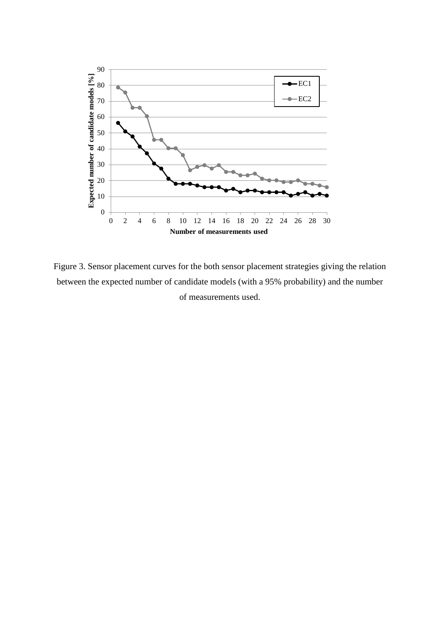

Figure 3. Sensor placement curves for the both sensor placement strategies giving the relation between the expected number of candidate models (with a 95% probability) and the number of measurements used.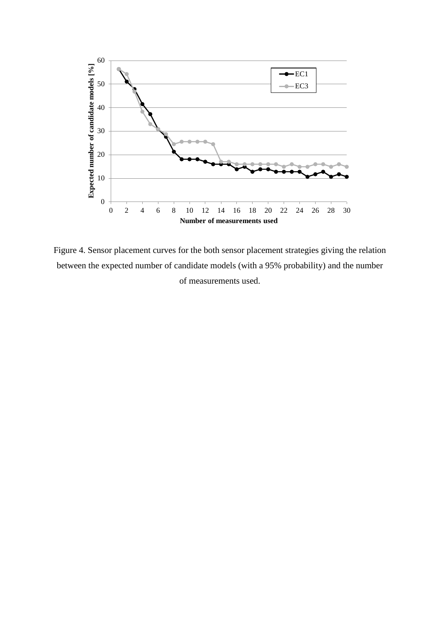

Figure 4. Sensor placement curves for the both sensor placement strategies giving the relation between the expected number of candidate models (with a 95% probability) and the number of measurements used.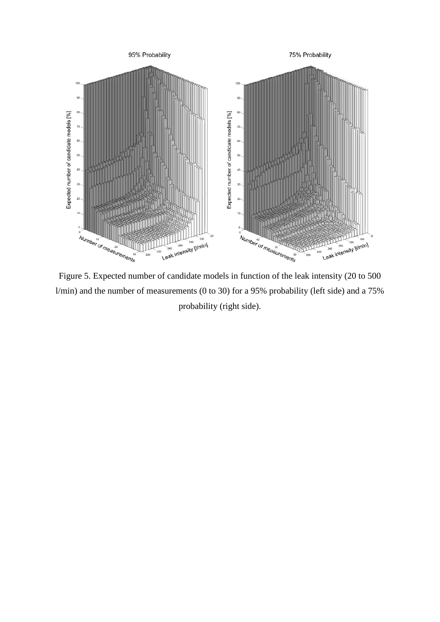

l/min) and the number of measurements (0 to 30) for a 95% probability (left side) and a 75% probability (right side).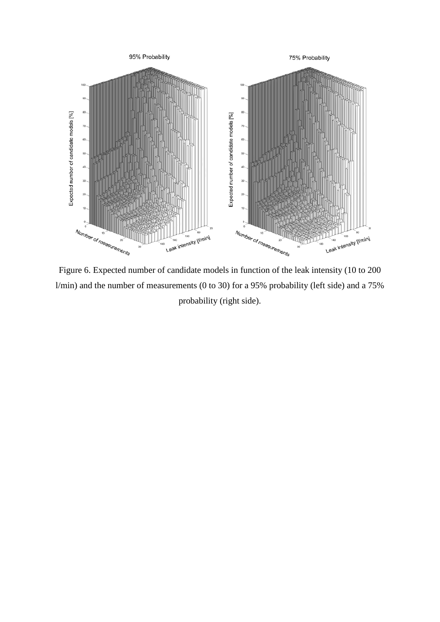

Figure 6. Expected number of candidate models in function of the leak intensity (10 to 200 l/min) and the number of measurements (0 to 30) for a 95% probability (left side) and a 75% probability (right side).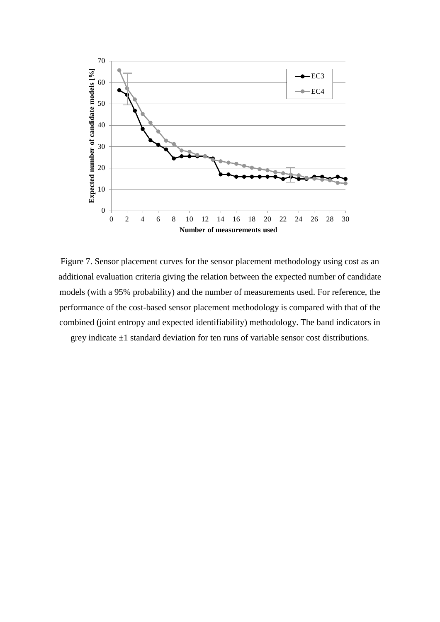

Figure 7. Sensor placement curves for the sensor placement methodology using cost as an additional evaluation criteria giving the relation between the expected number of candidate models (with a 95% probability) and the number of measurements used. For reference, the performance of the cost-based sensor placement methodology is compared with that of the combined (joint entropy and expected identifiability) methodology. The band indicators in grey indicate  $\pm 1$  standard deviation for ten runs of variable sensor cost distributions.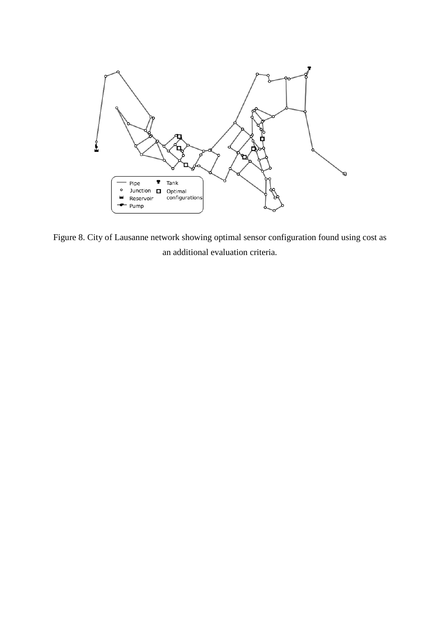

Figure 8. City of Lausanne network showing optimal sensor configuration found using cost as an additional evaluation criteria.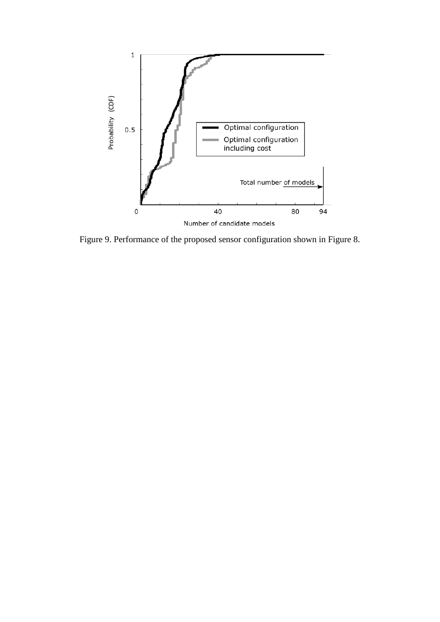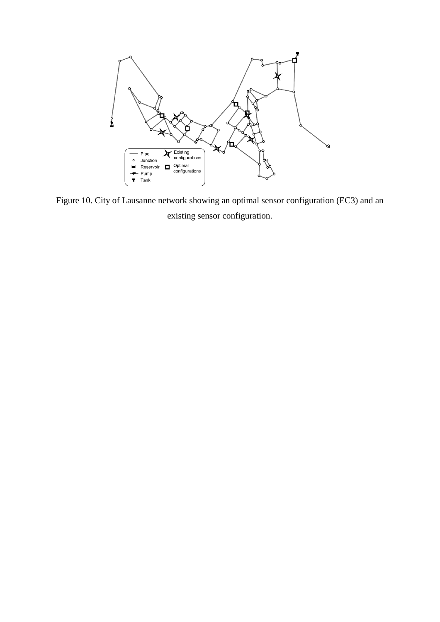

Figure 10. City of Lausanne network showing an optimal sensor configuration (EC3) and an existing sensor configuration.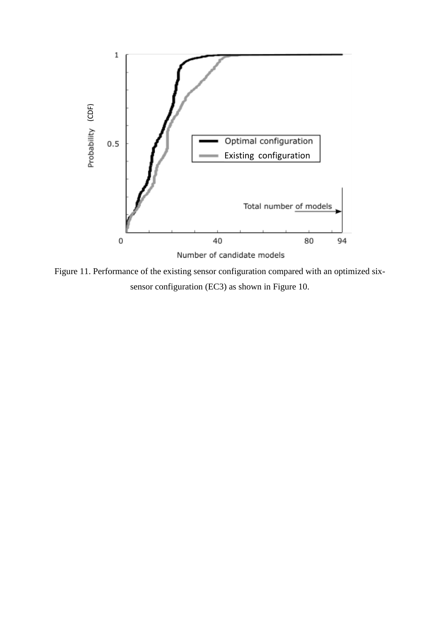

Figure 11. Performance of the existing sensor configuration compared with an optimized sixsensor configuration (EC3) as shown in Figure 10.